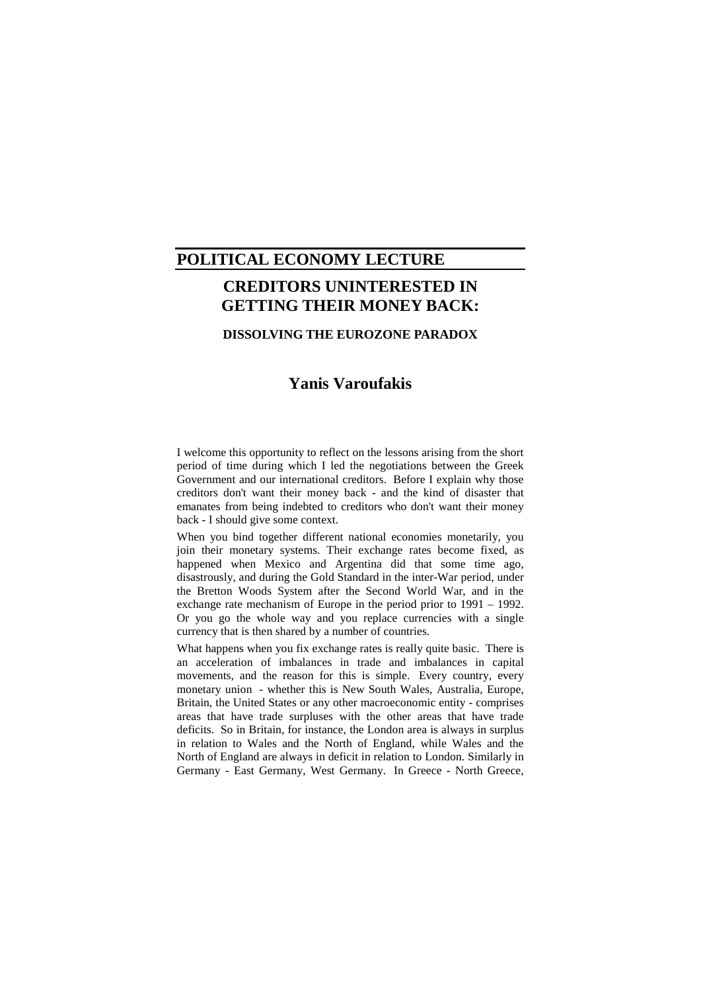# **POLITICAL ECONOMY LECTURE**

# **CREDITORS UNINTERESTED IN GETTING THEIR MONEY BACK:**

# **DISSOLVING THE EUROZONE PARADOX**

# **Yanis Varoufakis**

I welcome this opportunity to reflect on the lessons arising from the short period of time during which I led the negotiations between the Greek Government and our international creditors. Before I explain why those creditors don't want their money back - and the kind of disaster that emanates from being indebted to creditors who don't want their money back - I should give some context.

When you bind together different national economies monetarily, you join their monetary systems. Their exchange rates become fixed, as happened when Mexico and Argentina did that some time ago, disastrously, and during the Gold Standard in the inter-War period, under the Bretton Woods System after the Second World War, and in the exchange rate mechanism of Europe in the period prior to 1991 – 1992. Or you go the whole way and you replace currencies with a single currency that is then shared by a number of countries.

What happens when you fix exchange rates is really quite basic. There is an acceleration of imbalances in trade and imbalances in capital movements, and the reason for this is simple. Every country, every monetary union - whether this is New South Wales, Australia, Europe, Britain, the United States or any other macroeconomic entity - comprises areas that have trade surpluses with the other areas that have trade deficits. So in Britain, for instance, the London area is always in surplus in relation to Wales and the North of England, while Wales and the North of England are always in deficit in relation to London. Similarly in Germany - East Germany, West Germany. In Greece - North Greece,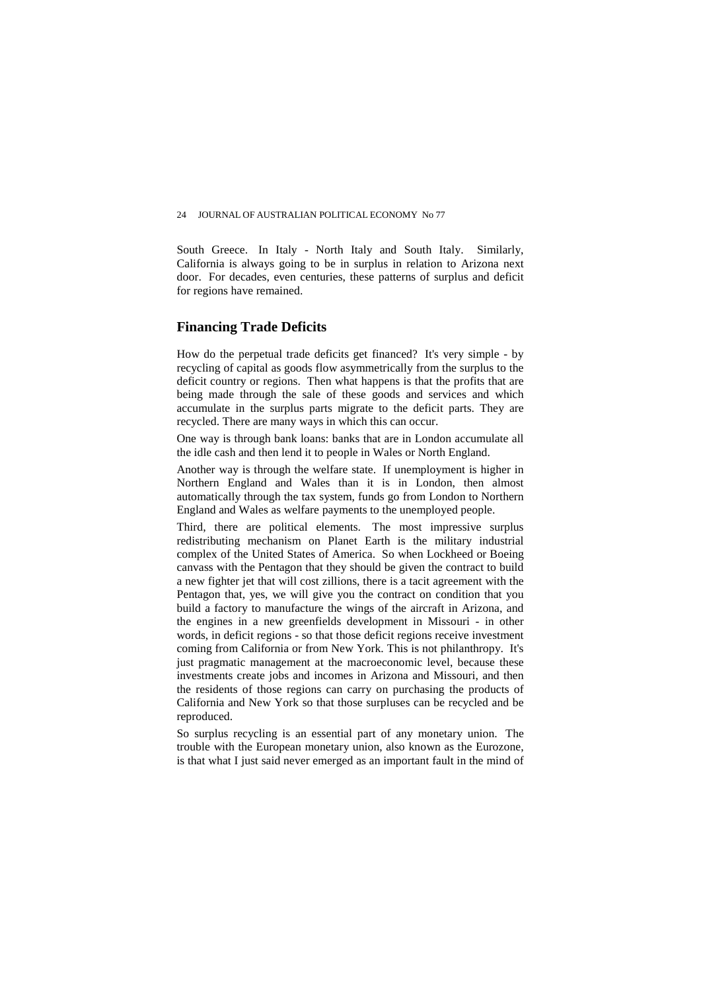South Greece. In Italy - North Italy and South Italy. Similarly, California is always going to be in surplus in relation to Arizona next door. For decades, even centuries, these patterns of surplus and deficit for regions have remained.

## **Financing Trade Deficits**

How do the perpetual trade deficits get financed? It's very simple - by recycling of capital as goods flow asymmetrically from the surplus to the deficit country or regions. Then what happens is that the profits that are being made through the sale of these goods and services and which accumulate in the surplus parts migrate to the deficit parts. They are recycled. There are many ways in which this can occur.

One way is through bank loans: banks that are in London accumulate all the idle cash and then lend it to people in Wales or North England.

Another way is through the welfare state. If unemployment is higher in Northern England and Wales than it is in London, then almost automatically through the tax system, funds go from London to Northern England and Wales as welfare payments to the unemployed people.

Third, there are political elements. The most impressive surplus redistributing mechanism on Planet Earth is the military industrial complex of the United States of America. So when Lockheed or Boeing canvass with the Pentagon that they should be given the contract to build a new fighter jet that will cost zillions, there is a tacit agreement with the Pentagon that, yes, we will give you the contract on condition that you build a factory to manufacture the wings of the aircraft in Arizona, and the engines in a new greenfields development in Missouri - in other words, in deficit regions - so that those deficit regions receive investment coming from California or from New York. This is not philanthropy. It's just pragmatic management at the macroeconomic level, because these investments create jobs and incomes in Arizona and Missouri, and then the residents of those regions can carry on purchasing the products of California and New York so that those surpluses can be recycled and be reproduced.

So surplus recycling is an essential part of any monetary union. The trouble with the European monetary union, also known as the Eurozone, is that what I just said never emerged as an important fault in the mind of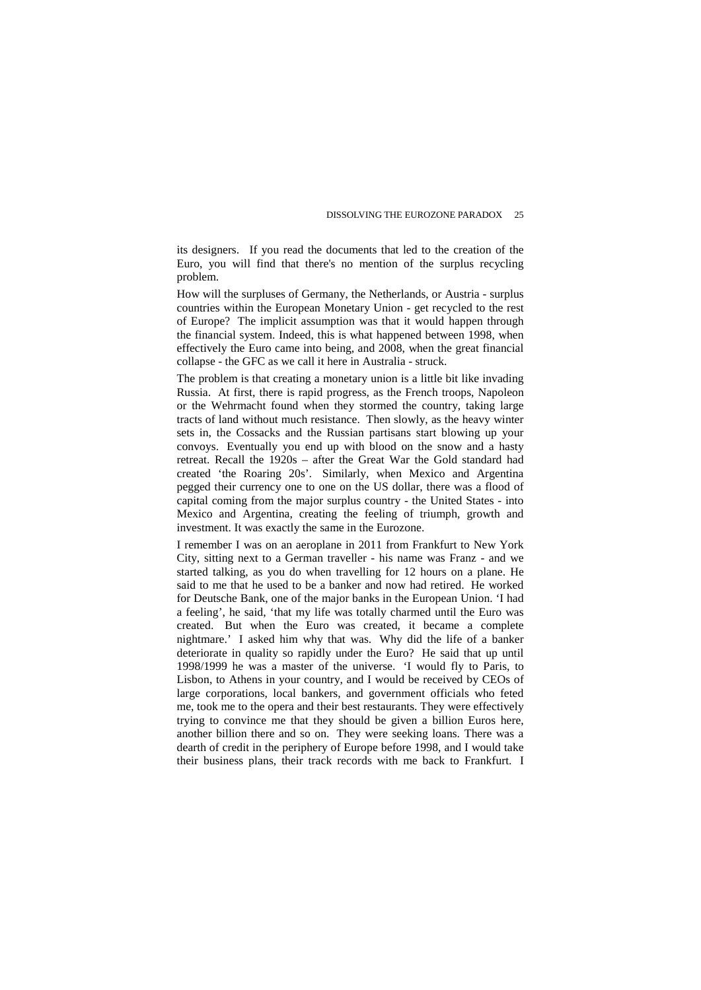its designers. If you read the documents that led to the creation of the Euro, you will find that there's no mention of the surplus recycling problem.

How will the surpluses of Germany, the Netherlands, or Austria - surplus countries within the European Monetary Union - get recycled to the rest of Europe? The implicit assumption was that it would happen through the financial system. Indeed, this is what happened between 1998, when effectively the Euro came into being, and 2008, when the great financial collapse - the GFC as we call it here in Australia - struck.

The problem is that creating a monetary union is a little bit like invading Russia. At first, there is rapid progress, as the French troops, Napoleon or the Wehrmacht found when they stormed the country, taking large tracts of land without much resistance. Then slowly, as the heavy winter sets in, the Cossacks and the Russian partisans start blowing up your convoys. Eventually you end up with blood on the snow and a hasty retreat. Recall the 1920s – after the Great War the Gold standard had created 'the Roaring 20s'. Similarly, when Mexico and Argentina pegged their currency one to one on the US dollar, there was a flood of capital coming from the major surplus country - the United States - into Mexico and Argentina, creating the feeling of triumph, growth and investment. It was exactly the same in the Eurozone.

I remember I was on an aeroplane in 2011 from Frankfurt to New York City, sitting next to a German traveller - his name was Franz - and we started talking, as you do when travelling for 12 hours on a plane. He said to me that he used to be a banker and now had retired. He worked for Deutsche Bank, one of the major banks in the European Union. 'I had a feeling', he said, 'that my life was totally charmed until the Euro was created. But when the Euro was created, it became a complete nightmare.' I asked him why that was. Why did the life of a banker deteriorate in quality so rapidly under the Euro? He said that up until 1998/1999 he was a master of the universe. 'I would fly to Paris, to Lisbon, to Athens in your country, and I would be received by CEOs of large corporations, local bankers, and government officials who feted me, took me to the opera and their best restaurants. They were effectively trying to convince me that they should be given a billion Euros here, another billion there and so on. They were seeking loans. There was a dearth of credit in the periphery of Europe before 1998, and I would take their business plans, their track records with me back to Frankfurt. I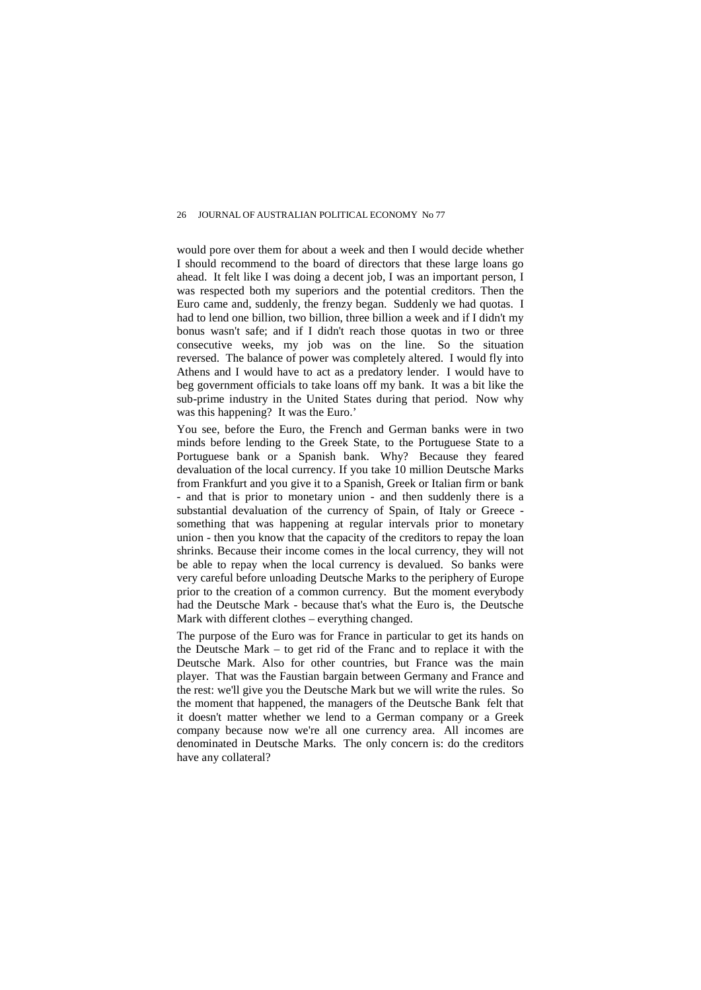would pore over them for about a week and then I would decide whether I should recommend to the board of directors that these large loans go ahead. It felt like I was doing a decent job, I was an important person, I was respected both my superiors and the potential creditors. Then the Euro came and, suddenly, the frenzy began. Suddenly we had quotas. I had to lend one billion, two billion, three billion a week and if I didn't my bonus wasn't safe; and if I didn't reach those quotas in two or three consecutive weeks, my job was on the line. So the situation reversed. The balance of power was completely altered. I would fly into Athens and I would have to act as a predatory lender. I would have to beg government officials to take loans off my bank. It was a bit like the sub-prime industry in the United States during that period. Now why was this happening? It was the Euro.'

You see, before the Euro, the French and German banks were in two minds before lending to the Greek State, to the Portuguese State to a Portuguese bank or a Spanish bank. Why? Because they feared devaluation of the local currency. If you take 10 million Deutsche Marks from Frankfurt and you give it to a Spanish, Greek or Italian firm or bank - and that is prior to monetary union - and then suddenly there is a substantial devaluation of the currency of Spain, of Italy or Greece something that was happening at regular intervals prior to monetary union - then you know that the capacity of the creditors to repay the loan shrinks. Because their income comes in the local currency, they will not be able to repay when the local currency is devalued. So banks were very careful before unloading Deutsche Marks to the periphery of Europe prior to the creation of a common currency. But the moment everybody had the Deutsche Mark - because that's what the Euro is, the Deutsche Mark with different clothes – everything changed.

The purpose of the Euro was for France in particular to get its hands on the Deutsche Mark – to get rid of the Franc and to replace it with the Deutsche Mark. Also for other countries, but France was the main player. That was the Faustian bargain between Germany and France and the rest: we'll give you the Deutsche Mark but we will write the rules. So the moment that happened, the managers of the Deutsche Bank felt that it doesn't matter whether we lend to a German company or a Greek company because now we're all one currency area. All incomes are denominated in Deutsche Marks. The only concern is: do the creditors have any collateral?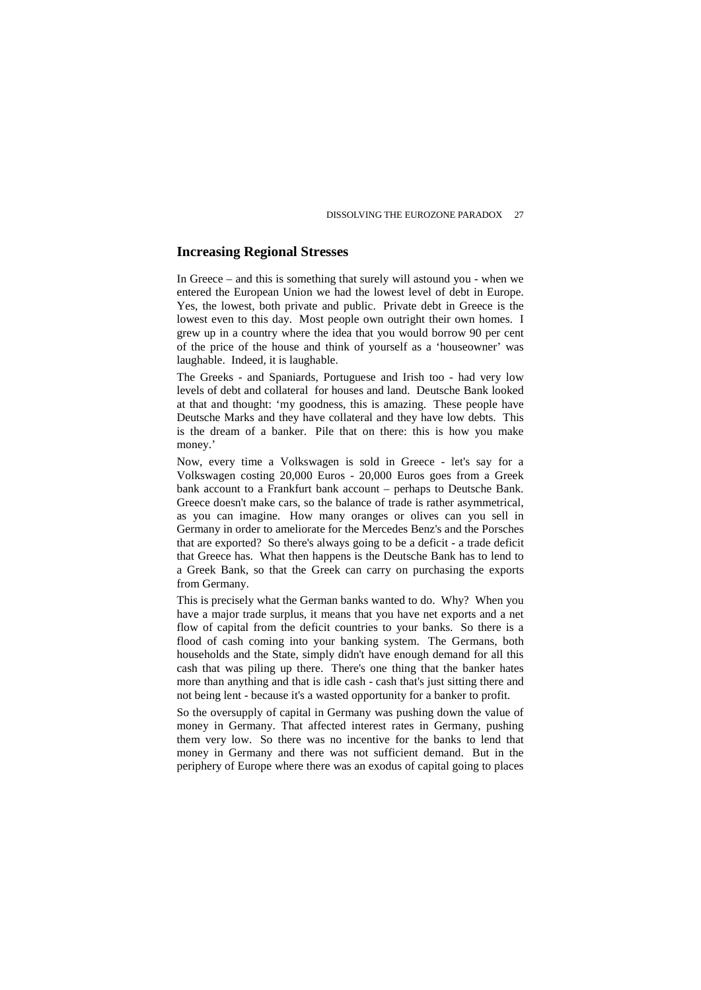## **Increasing Regional Stresses**

In Greece – and this is something that surely will astound you - when we entered the European Union we had the lowest level of debt in Europe. Yes, the lowest, both private and public. Private debt in Greece is the lowest even to this day. Most people own outright their own homes. I grew up in a country where the idea that you would borrow 90 per cent of the price of the house and think of yourself as a 'houseowner' was laughable. Indeed, it is laughable.

The Greeks - and Spaniards, Portuguese and Irish too - had very low levels of debt and collateral for houses and land. Deutsche Bank looked at that and thought: 'my goodness, this is amazing. These people have Deutsche Marks and they have collateral and they have low debts. This is the dream of a banker. Pile that on there: this is how you make money.'

Now, every time a Volkswagen is sold in Greece - let's say for a Volkswagen costing 20,000 Euros - 20,000 Euros goes from a Greek bank account to a Frankfurt bank account – perhaps to Deutsche Bank. Greece doesn't make cars, so the balance of trade is rather asymmetrical, as you can imagine. How many oranges or olives can you sell in Germany in order to ameliorate for the Mercedes Benz's and the Porsches that are exported? So there's always going to be a deficit - a trade deficit that Greece has. What then happens is the Deutsche Bank has to lend to a Greek Bank, so that the Greek can carry on purchasing the exports from Germany.

This is precisely what the German banks wanted to do. Why? When you have a major trade surplus, it means that you have net exports and a net flow of capital from the deficit countries to your banks. So there is a flood of cash coming into your banking system. The Germans, both households and the State, simply didn't have enough demand for all this cash that was piling up there. There's one thing that the banker hates more than anything and that is idle cash - cash that's just sitting there and not being lent - because it's a wasted opportunity for a banker to profit.

So the oversupply of capital in Germany was pushing down the value of money in Germany. That affected interest rates in Germany, pushing them very low. So there was no incentive for the banks to lend that money in Germany and there was not sufficient demand. But in the periphery of Europe where there was an exodus of capital going to places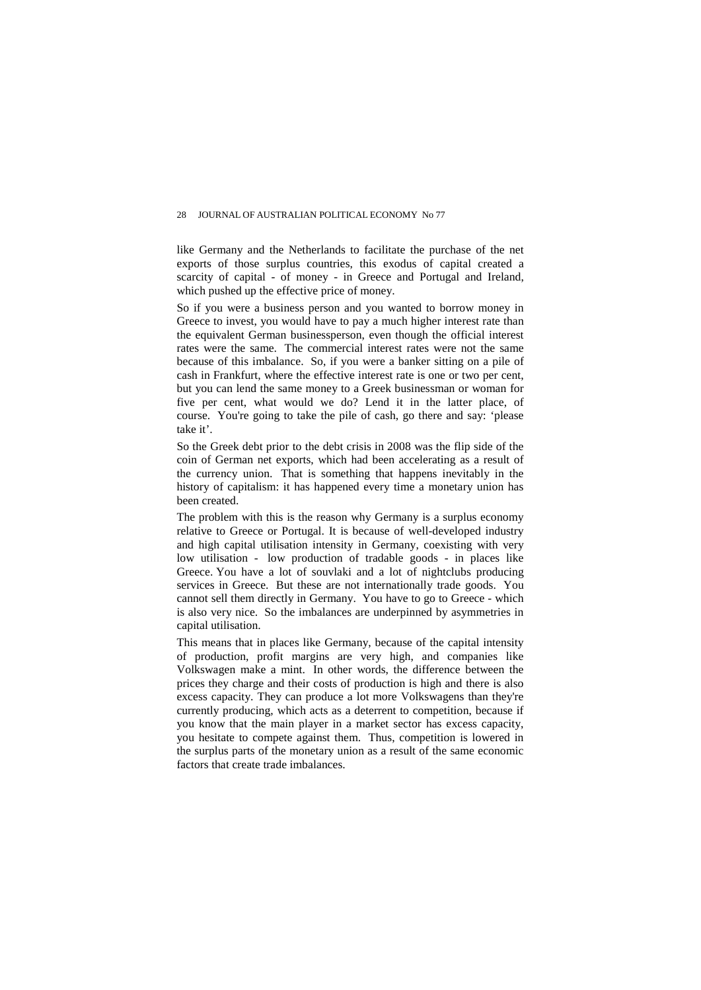like Germany and the Netherlands to facilitate the purchase of the net exports of those surplus countries, this exodus of capital created a scarcity of capital - of money - in Greece and Portugal and Ireland, which pushed up the effective price of money.

So if you were a business person and you wanted to borrow money in Greece to invest, you would have to pay a much higher interest rate than the equivalent German businessperson, even though the official interest rates were the same. The commercial interest rates were not the same because of this imbalance. So, if you were a banker sitting on a pile of cash in Frankfurt, where the effective interest rate is one or two per cent, but you can lend the same money to a Greek businessman or woman for five per cent, what would we do? Lend it in the latter place, of course. You're going to take the pile of cash, go there and say: 'please take it'.

So the Greek debt prior to the debt crisis in 2008 was the flip side of the coin of German net exports, which had been accelerating as a result of the currency union. That is something that happens inevitably in the history of capitalism: it has happened every time a monetary union has been created.

The problem with this is the reason why Germany is a surplus economy relative to Greece or Portugal. It is because of well-developed industry and high capital utilisation intensity in Germany, coexisting with very low utilisation - low production of tradable goods - in places like Greece. You have a lot of souvlaki and a lot of nightclubs producing services in Greece. But these are not internationally trade goods. You cannot sell them directly in Germany. You have to go to Greece - which is also very nice. So the imbalances are underpinned by asymmetries in capital utilisation.

This means that in places like Germany, because of the capital intensity of production, profit margins are very high, and companies like Volkswagen make a mint. In other words, the difference between the prices they charge and their costs of production is high and there is also excess capacity. They can produce a lot more Volkswagens than they're currently producing, which acts as a deterrent to competition, because if you know that the main player in a market sector has excess capacity, you hesitate to compete against them. Thus, competition is lowered in the surplus parts of the monetary union as a result of the same economic factors that create trade imbalances.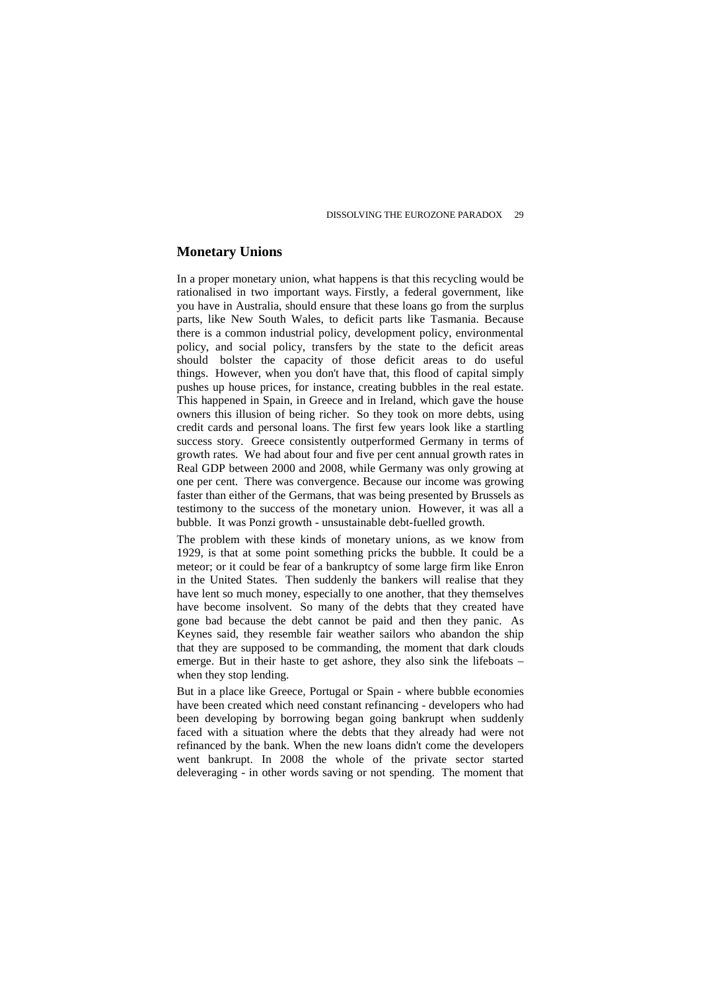## **Monetary Unions**

In a proper monetary union, what happens is that this recycling would be rationalised in two important ways. Firstly, a federal government, like you have in Australia, should ensure that these loans go from the surplus parts, like New South Wales, to deficit parts like Tasmania. Because there is a common industrial policy, development policy, environmental policy, and social policy, transfers by the state to the deficit areas should bolster the capacity of those deficit areas to do useful things. However, when you don't have that, this flood of capital simply pushes up house prices, for instance, creating bubbles in the real estate. This happened in Spain, in Greece and in Ireland, which gave the house owners this illusion of being richer. So they took on more debts, using credit cards and personal loans. The first few years look like a startling success story. Greece consistently outperformed Germany in terms of growth rates. We had about four and five per cent annual growth rates in Real GDP between 2000 and 2008, while Germany was only growing at one per cent. There was convergence. Because our income was growing faster than either of the Germans, that was being presented by Brussels as testimony to the success of the monetary union. However, it was all a bubble. It was Ponzi growth - unsustainable debt-fuelled growth.

The problem with these kinds of monetary unions, as we know from 1929, is that at some point something pricks the bubble. It could be a meteor; or it could be fear of a bankruptcy of some large firm like Enron in the United States. Then suddenly the bankers will realise that they have lent so much money, especially to one another, that they themselves have become insolvent. So many of the debts that they created have gone bad because the debt cannot be paid and then they panic. As Keynes said, they resemble fair weather sailors who abandon the ship that they are supposed to be commanding, the moment that dark clouds emerge. But in their haste to get ashore, they also sink the lifeboats – when they stop lending.

But in a place like Greece, Portugal or Spain - where bubble economies have been created which need constant refinancing - developers who had been developing by borrowing began going bankrupt when suddenly faced with a situation where the debts that they already had were not refinanced by the bank. When the new loans didn't come the developers went bankrupt. In 2008 the whole of the private sector started deleveraging - in other words saving or not spending. The moment that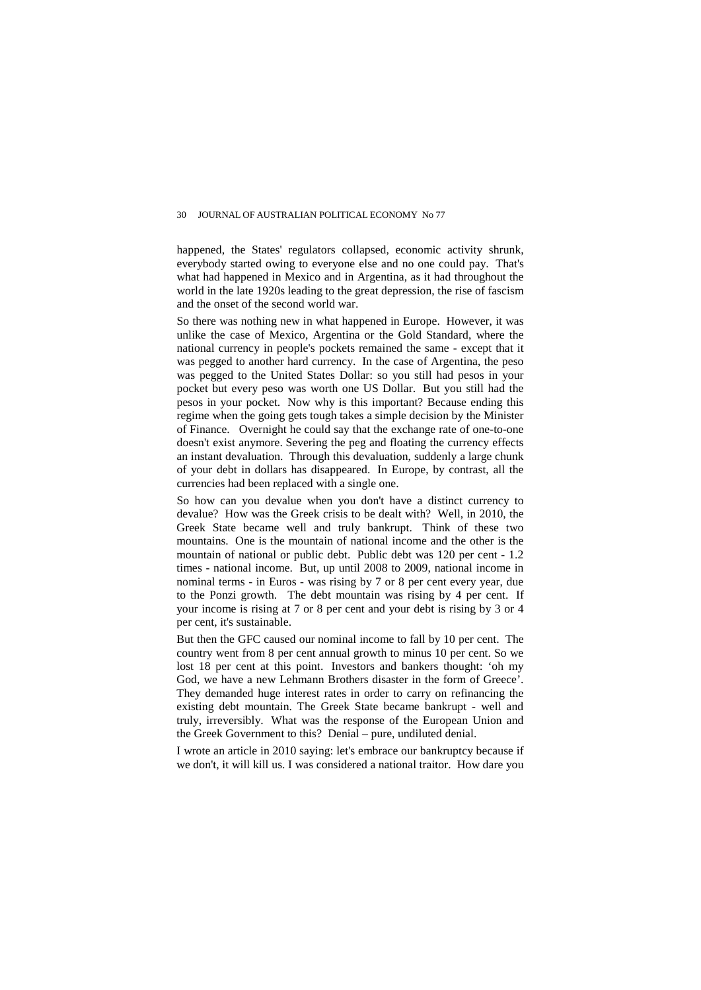happened, the States' regulators collapsed, economic activity shrunk, everybody started owing to everyone else and no one could pay. That's what had happened in Mexico and in Argentina, as it had throughout the world in the late 1920s leading to the great depression, the rise of fascism and the onset of the second world war.

So there was nothing new in what happened in Europe. However, it was unlike the case of Mexico, Argentina or the Gold Standard, where the national currency in people's pockets remained the same - except that it was pegged to another hard currency. In the case of Argentina, the peso was pegged to the United States Dollar: so you still had pesos in your pocket but every peso was worth one US Dollar. But you still had the pesos in your pocket. Now why is this important? Because ending this regime when the going gets tough takes a simple decision by the Minister of Finance. Overnight he could say that the exchange rate of one-to-one doesn't exist anymore. Severing the peg and floating the currency effects an instant devaluation. Through this devaluation, suddenly a large chunk of your debt in dollars has disappeared. In Europe, by contrast, all the currencies had been replaced with a single one.

So how can you devalue when you don't have a distinct currency to devalue? How was the Greek crisis to be dealt with? Well, in 2010, the Greek State became well and truly bankrupt. Think of these two mountains. One is the mountain of national income and the other is the mountain of national or public debt. Public debt was 120 per cent - 1.2 times - national income. But, up until 2008 to 2009, national income in nominal terms - in Euros - was rising by 7 or 8 per cent every year, due to the Ponzi growth. The debt mountain was rising by 4 per cent. If your income is rising at 7 or 8 per cent and your debt is rising by 3 or 4 per cent, it's sustainable.

But then the GFC caused our nominal income to fall by 10 per cent. The country went from 8 per cent annual growth to minus 10 per cent. So we lost 18 per cent at this point. Investors and bankers thought: 'oh my God, we have a new Lehmann Brothers disaster in the form of Greece'. They demanded huge interest rates in order to carry on refinancing the existing debt mountain. The Greek State became bankrupt - well and truly, irreversibly. What was the response of the European Union and the Greek Government to this? Denial – pure, undiluted denial.

I wrote an article in 2010 saying: let's embrace our bankruptcy because if we don't, it will kill us. I was considered a national traitor. How dare you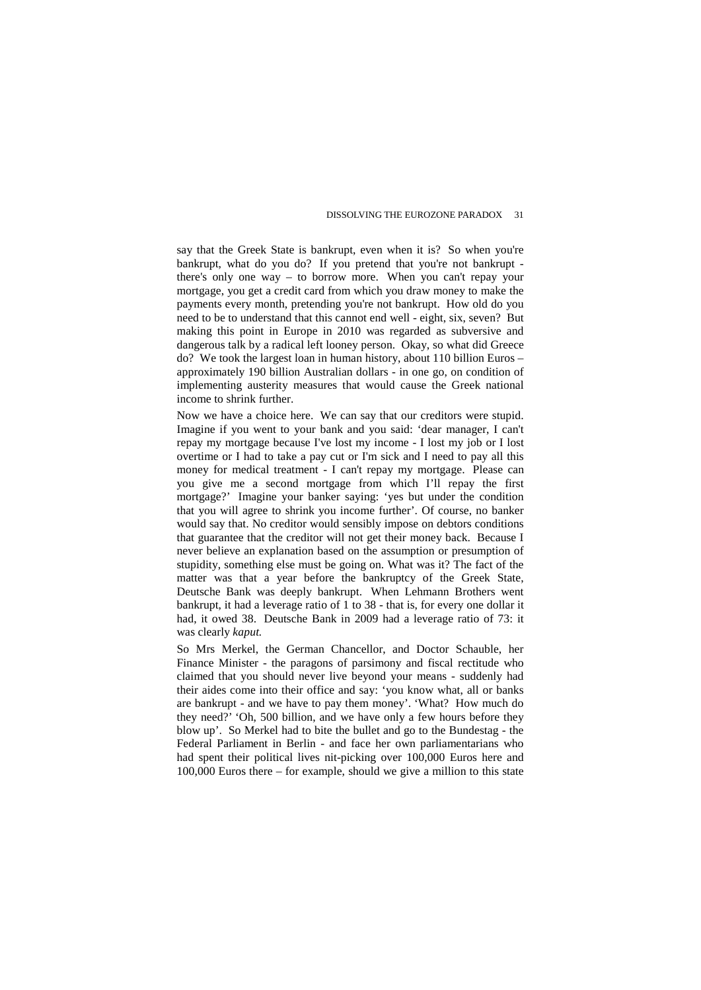say that the Greek State is bankrupt, even when it is? So when you're bankrupt, what do you do? If you pretend that you're not bankrupt there's only one way – to borrow more. When you can't repay your mortgage, you get a credit card from which you draw money to make the payments every month, pretending you're not bankrupt. How old do you need to be to understand that this cannot end well - eight, six, seven? But making this point in Europe in 2010 was regarded as subversive and dangerous talk by a radical left looney person. Okay, so what did Greece do? We took the largest loan in human history, about 110 billion Euros – approximately 190 billion Australian dollars - in one go, on condition of implementing austerity measures that would cause the Greek national income to shrink further.

Now we have a choice here. We can say that our creditors were stupid. Imagine if you went to your bank and you said: 'dear manager, I can't repay my mortgage because I've lost my income - I lost my job or I lost overtime or I had to take a pay cut or I'm sick and I need to pay all this money for medical treatment - I can't repay my mortgage. Please can you give me a second mortgage from which I'll repay the first mortgage?' Imagine your banker saying: 'yes but under the condition that you will agree to shrink you income further'. Of course, no banker would say that. No creditor would sensibly impose on debtors conditions that guarantee that the creditor will not get their money back. Because I never believe an explanation based on the assumption or presumption of stupidity, something else must be going on. What was it? The fact of the matter was that a year before the bankruptcy of the Greek State, Deutsche Bank was deeply bankrupt. When Lehmann Brothers went bankrupt, it had a leverage ratio of 1 to 38 - that is, for every one dollar it had, it owed 38. Deutsche Bank in 2009 had a leverage ratio of 73: it was clearly *kaput.*

So Mrs Merkel, the German Chancellor, and Doctor Schauble, her Finance Minister - the paragons of parsimony and fiscal rectitude who claimed that you should never live beyond your means - suddenly had their aides come into their office and say: 'you know what, all or banks are bankrupt - and we have to pay them money'. 'What? How much do they need?' 'Oh, 500 billion, and we have only a few hours before they blow up'. So Merkel had to bite the bullet and go to the Bundestag - the Federal Parliament in Berlin - and face her own parliamentarians who had spent their political lives nit-picking over 100,000 Euros here and 100,000 Euros there – for example, should we give a million to this state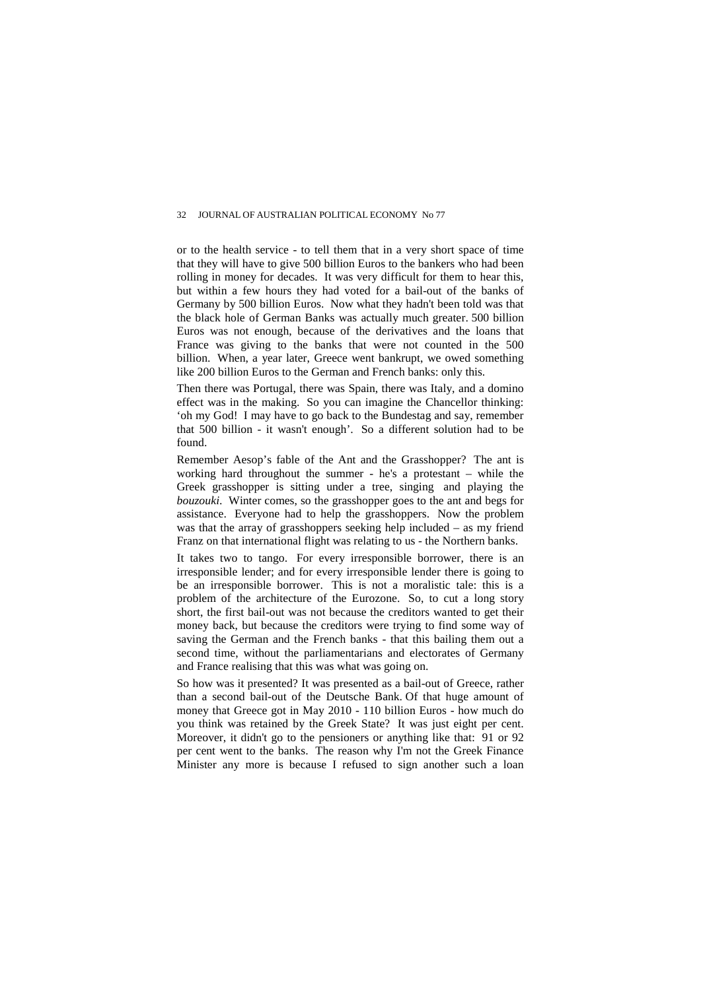or to the health service - to tell them that in a very short space of time that they will have to give 500 billion Euros to the bankers who had been rolling in money for decades. It was very difficult for them to hear this, but within a few hours they had voted for a bail-out of the banks of Germany by 500 billion Euros. Now what they hadn't been told was that the black hole of German Banks was actually much greater. 500 billion Euros was not enough, because of the derivatives and the loans that France was giving to the banks that were not counted in the 500 billion. When, a year later, Greece went bankrupt, we owed something like 200 billion Euros to the German and French banks: only this.

Then there was Portugal, there was Spain, there was Italy, and a domino effect was in the making. So you can imagine the Chancellor thinking: 'oh my God! I may have to go back to the Bundestag and say, remember that 500 billion - it wasn't enough'. So a different solution had to be found.

Remember Aesop's fable of the Ant and the Grasshopper? The ant is working hard throughout the summer - he's a protestant – while the Greek grasshopper is sitting under a tree, singing and playing the *bouzouki*. Winter comes, so the grasshopper goes to the ant and begs for assistance. Everyone had to help the grasshoppers. Now the problem was that the array of grasshoppers seeking help included – as my friend Franz on that international flight was relating to us - the Northern banks.

It takes two to tango. For every irresponsible borrower, there is an irresponsible lender; and for every irresponsible lender there is going to be an irresponsible borrower. This is not a moralistic tale: this is a problem of the architecture of the Eurozone. So, to cut a long story short, the first bail-out was not because the creditors wanted to get their money back, but because the creditors were trying to find some way of saving the German and the French banks - that this bailing them out a second time, without the parliamentarians and electorates of Germany and France realising that this was what was going on.

So how was it presented? It was presented as a bail-out of Greece, rather than a second bail-out of the Deutsche Bank. Of that huge amount of money that Greece got in May 2010 - 110 billion Euros - how much do you think was retained by the Greek State? It was just eight per cent. Moreover, it didn't go to the pensioners or anything like that: 91 or 92 per cent went to the banks. The reason why I'm not the Greek Finance Minister any more is because I refused to sign another such a loan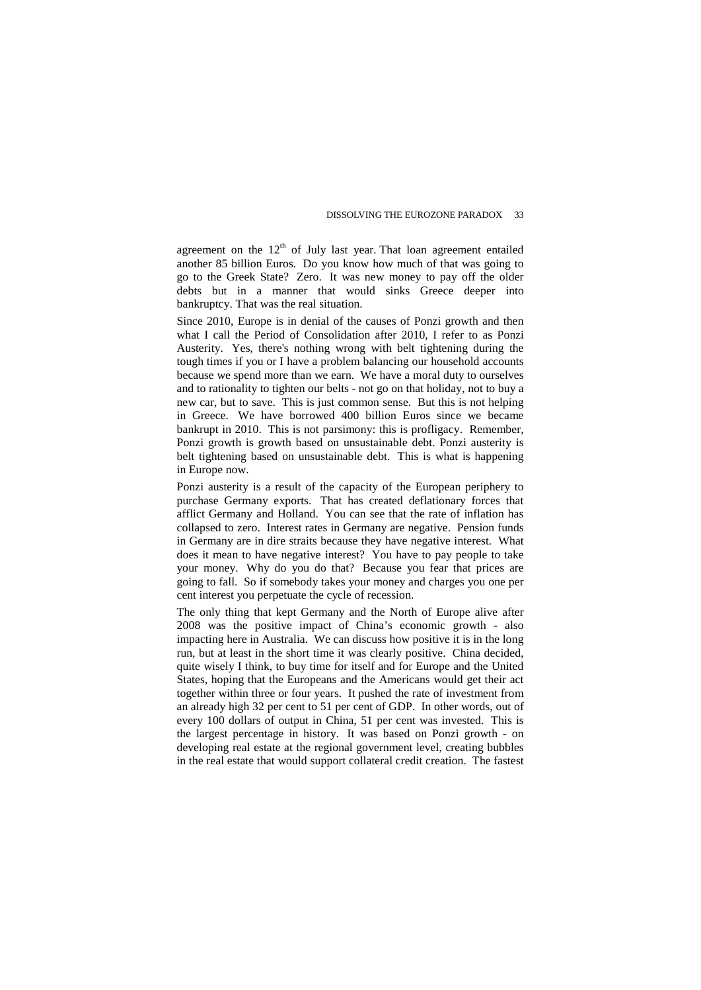agreement on the  $12<sup>th</sup>$  of July last year. That loan agreement entailed another 85 billion Euros. Do you know how much of that was going to go to the Greek State? Zero. It was new money to pay off the older debts but in a manner that would sinks Greece deeper into bankruptcy. That was the real situation.

Since 2010, Europe is in denial of the causes of Ponzi growth and then what I call the Period of Consolidation after 2010, I refer to as Ponzi Austerity. Yes, there's nothing wrong with belt tightening during the tough times if you or I have a problem balancing our household accounts because we spend more than we earn. We have a moral duty to ourselves and to rationality to tighten our belts - not go on that holiday, not to buy a new car, but to save. This is just common sense. But this is not helping in Greece. We have borrowed 400 billion Euros since we became bankrupt in 2010. This is not parsimony: this is profligacy. Remember, Ponzi growth is growth based on unsustainable debt. Ponzi austerity is belt tightening based on unsustainable debt. This is what is happening in Europe now.

Ponzi austerity is a result of the capacity of the European periphery to purchase Germany exports. That has created deflationary forces that afflict Germany and Holland. You can see that the rate of inflation has collapsed to zero. Interest rates in Germany are negative. Pension funds in Germany are in dire straits because they have negative interest. What does it mean to have negative interest? You have to pay people to take your money. Why do you do that? Because you fear that prices are going to fall. So if somebody takes your money and charges you one per cent interest you perpetuate the cycle of recession.

The only thing that kept Germany and the North of Europe alive after 2008 was the positive impact of China's economic growth - also impacting here in Australia. We can discuss how positive it is in the long run, but at least in the short time it was clearly positive. China decided, quite wisely I think, to buy time for itself and for Europe and the United States, hoping that the Europeans and the Americans would get their act together within three or four years. It pushed the rate of investment from an already high 32 per cent to 51 per cent of GDP. In other words, out of every 100 dollars of output in China, 51 per cent was invested. This is the largest percentage in history. It was based on Ponzi growth - on developing real estate at the regional government level, creating bubbles in the real estate that would support collateral credit creation. The fastest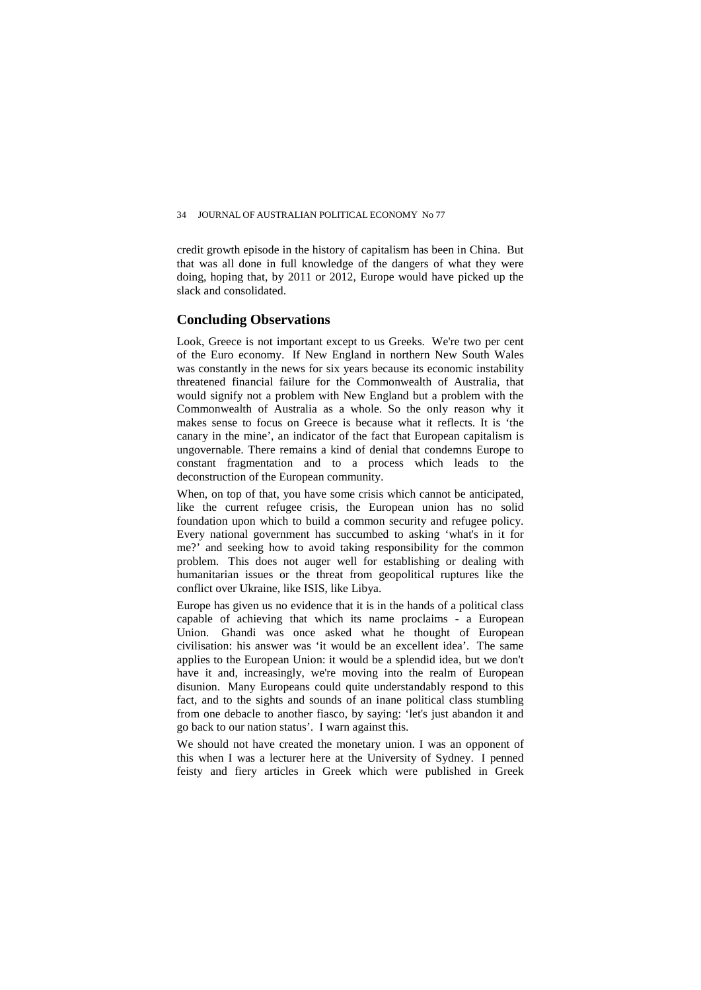credit growth episode in the history of capitalism has been in China. But that was all done in full knowledge of the dangers of what they were doing, hoping that, by 2011 or 2012, Europe would have picked up the slack and consolidated.

### **Concluding Observations**

Look, Greece is not important except to us Greeks. We're two per cent of the Euro economy. If New England in northern New South Wales was constantly in the news for six years because its economic instability threatened financial failure for the Commonwealth of Australia, that would signify not a problem with New England but a problem with the Commonwealth of Australia as a whole. So the only reason why it makes sense to focus on Greece is because what it reflects. It is 'the canary in the mine', an indicator of the fact that European capitalism is ungovernable. There remains a kind of denial that condemns Europe to constant fragmentation and to a process which leads to the deconstruction of the European community.

When, on top of that, you have some crisis which cannot be anticipated, like the current refugee crisis, the European union has no solid foundation upon which to build a common security and refugee policy. Every national government has succumbed to asking 'what's in it for me?' and seeking how to avoid taking responsibility for the common problem. This does not auger well for establishing or dealing with humanitarian issues or the threat from geopolitical ruptures like the conflict over Ukraine, like ISIS, like Libya.

Europe has given us no evidence that it is in the hands of a political class capable of achieving that which its name proclaims - a European Union. Ghandi was once asked what he thought of European civilisation: his answer was 'it would be an excellent idea'. The same applies to the European Union: it would be a splendid idea, but we don't have it and, increasingly, we're moving into the realm of European disunion. Many Europeans could quite understandably respond to this fact, and to the sights and sounds of an inane political class stumbling from one debacle to another fiasco, by saying: 'let's just abandon it and go back to our nation status'. I warn against this.

We should not have created the monetary union. I was an opponent of this when I was a lecturer here at the University of Sydney. I penned feisty and fiery articles in Greek which were published in Greek